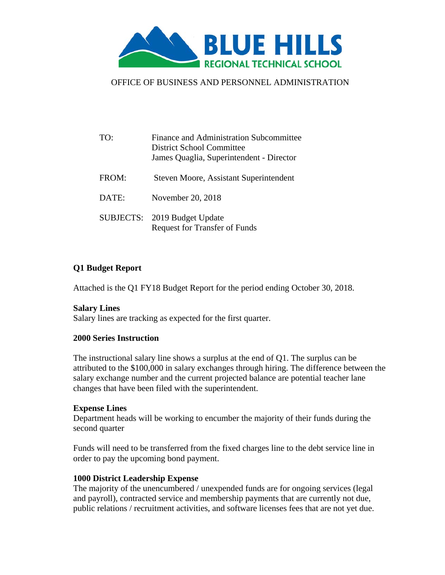

# OFFICE OF BUSINESS AND PERSONNEL ADMINISTRATION

| TO:   | Finance and Administration Subcommittee<br>District School Committee<br>James Quaglia, Superintendent - Director |
|-------|------------------------------------------------------------------------------------------------------------------|
| FROM: | Steven Moore, Assistant Superintendent                                                                           |
| DATE: | November 20, 2018                                                                                                |
|       | SUBJECTS: 2019 Budget Update<br><b>Request for Transfer of Funds</b>                                             |

# **Q1 Budget Report**

Attached is the Q1 FY18 Budget Report for the period ending October 30, 2018.

#### **Salary Lines**

Salary lines are tracking as expected for the first quarter.

#### **2000 Series Instruction**

The instructional salary line shows a surplus at the end of Q1. The surplus can be attributed to the \$100,000 in salary exchanges through hiring. The difference between the salary exchange number and the current projected balance are potential teacher lane changes that have been filed with the superintendent.

#### **Expense Lines**

Department heads will be working to encumber the majority of their funds during the second quarter

Funds will need to be transferred from the fixed charges line to the debt service line in order to pay the upcoming bond payment.

#### **1000 District Leadership Expense**

The majority of the unencumbered / unexpended funds are for ongoing services (legal and payroll), contracted service and membership payments that are currently not due, public relations / recruitment activities, and software licenses fees that are not yet due.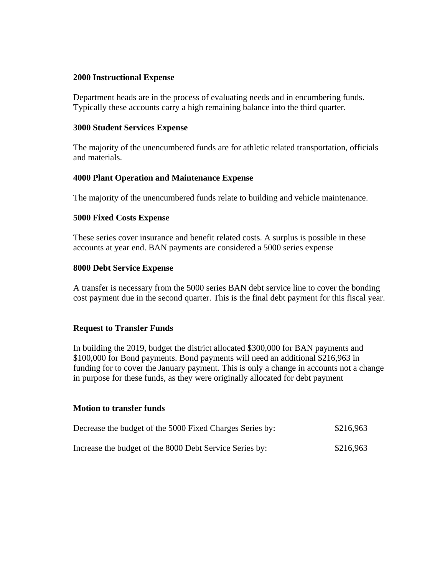# **2000 Instructional Expense**

Department heads are in the process of evaluating needs and in encumbering funds. Typically these accounts carry a high remaining balance into the third quarter.

#### **3000 Student Services Expense**

The majority of the unencumbered funds are for athletic related transportation, officials and materials.

# **4000 Plant Operation and Maintenance Expense**

The majority of the unencumbered funds relate to building and vehicle maintenance.

# **5000 Fixed Costs Expense**

These series cover insurance and benefit related costs. A surplus is possible in these accounts at year end. BAN payments are considered a 5000 series expense

# **8000 Debt Service Expense**

A transfer is necessary from the 5000 series BAN debt service line to cover the bonding cost payment due in the second quarter. This is the final debt payment for this fiscal year.

# **Request to Transfer Funds**

In building the 2019, budget the district allocated \$300,000 for BAN payments and \$100,000 for Bond payments. Bond payments will need an additional \$216,963 in funding for to cover the January payment. This is only a change in accounts not a change in purpose for these funds, as they were originally allocated for debt payment

# **Motion to transfer funds**

| Decrease the budget of the 5000 Fixed Charges Series by: | \$216,963 |
|----------------------------------------------------------|-----------|
| Increase the budget of the 8000 Debt Service Series by:  | \$216,963 |